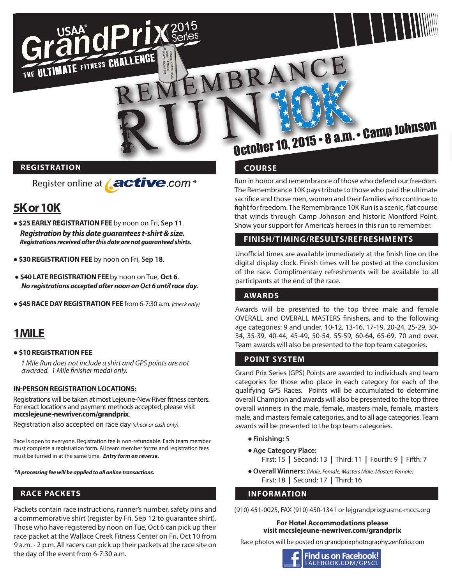

#### **REGISTRATION**

Register online at **Active**.com<sup>\*</sup>

dPriX<sup>20</sup>

### **5K or 10K**

 $R = \frac{1}{2015}$ 

- ●**\$25 EARLY REGISTRATION FEE** by noon on Fri, **Sep 11**.  *Registration by this date guarantees t-shirt & size. Registrations received after this date are not guaranteed shirts.*
- **\$30 REGISTRATION FEE** by noon on Fri, **Sep 18**.

THE ULTIMATE FITNESS CHALLENGE

- ●**\$40 LATE REGISTRATION FEE** by noon on Tue, **Oct 6**.  *No registrations accepted after noon on Oct 6 until race day.*
- ●**\$45 RACE DAY REGISTRATION FEE** from 6-7:30 a.m. *(check only)*

#### **1MILE**

#### ● **\$10 REGISTRATION FEE**

 *1 Mile Run does not include a shirt and GPS points are not awarded. 1 Mile finisher medal only.*

#### **IN-PERSON REGISTRATION LOCATIONS:**

Registrations will be taken at most Lejeune-New River fitness centers. For exact locations and payment methods accepted, please visit **mccslejeune-newriver.com/grandprix**.

Registration also accepted on race day *(check or cash only).*

Race is open to everyone. Registration fee is non-refundable. Each team member must complete a registration form. All team member forms and registration fees must be turned in at the same time. *Entry form on reverse.*

 *\*A processing fee will be applied to all online transactions.*

#### **RACE PACKETS**

Packets contain race instructions, runner's number, safety pins and a commemorative shirt (register by Fri, Sep 12 to guarantee shirt). Those who have registered by noon on Tue, Oct 6 can pick up their race packet at the Wallace Creek Fitness Center on Fri, Oct 10 from 9 a.m. - 2 p.m. All racers can pick up their packets at the race site on the day of the event from 6-7:30 a.m.

# October 10, 2015 • 8 a.m. • Camp Johnson

#### **COURSE**

MEMBRANCE

Run in honor and remembrance of those who defend our freedom. The Remembrance 10K pays tribute to those who paid the ultimate sacrifice and those men, women and their families who continue to fight for freedom. The Remembrance 10K Run is a scenic, flat course that winds through Camp Johnson and historic Montford Point. Show your support for America's heroes in this run to remember.

#### **FINISH/TIMING/RESULTS/REFRESHMENTS**

Unofficial times are available immediately at the finish line on the digital display clock. Finish times will be posted at the conclusion of the race. Complimentary refreshments will be available to all participants at the end of the race.

#### **AWARDS**

Awards will be presented to the top three male and female OVERALL and OVERALL MASTERS finishers, and to the following age categories: 9 and under, 10-12, 13-16, 17-19, 20-24, 25-29, 30- 34, 35-39, 40-44, 45-49, 50-54, 55-59, 60-64, 65-69, 70 and over. Team awards will also be presented to the top team categories.

#### **POINT SYSTEM**

Grand Prix Series (GPS) Points are awarded to individuals and team categories for those who place in each category for each of the qualifying GPS Races. Points will be accumulated to determine overall Champion and awards will also be presented to the top three overall winners in the male, female, masters male, female, masters male, and masters female categories, and to all age categories. Team awards will be presented to the top team categories.

- ●**Finishing:** 5
- ●**Age Category Place:**
	- First: 15 **|** Second: 13 **|** Third: 11 **|** Fourth: 9 **|** Fifth: 7
- ●**Overall Winners:** *(Male, Female, Masters Male, Masters Female)* First: 18 **|** Second: 17 **|** Third: 16

#### **INFORMATION**

(910) 451-0025, FAX (910) 450-1341 or lejgrandprix@usmc-mccs.org

#### **For Hotel Accommodations please visit mccslejeune-newriver.com/grandprix**

Race photos will be posted on grandprixphotography.zenfolio.com